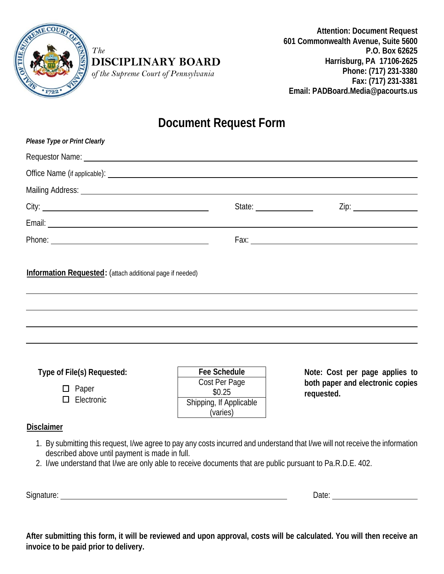

*The* 

### **DISCIPLINARY BOARD**

*of the Supreme Court of Pennsylvania*

**Attention: Document Request 601 Commonwealth Avenue, Suite 5600 P.O. Box 62625 Harrisburg, PA 17106-2625 Phone: (717) 231-3380 Fax: (717) 231-3381 Email: PADBoard.Media@pacourts.us**

## **Document Request Form**

| Please Type or Print Clearly                                                                                                                                                                                                                                                                                       |                                                                                                                                                                                                                                |                                                                                  |
|--------------------------------------------------------------------------------------------------------------------------------------------------------------------------------------------------------------------------------------------------------------------------------------------------------------------|--------------------------------------------------------------------------------------------------------------------------------------------------------------------------------------------------------------------------------|----------------------------------------------------------------------------------|
| Requestor Name: <u>contract and a series of the series of the series of the series of the series of the series of the series of the series of the series of the series of the series of the series of the series of the series o</u>                                                                               |                                                                                                                                                                                                                                |                                                                                  |
|                                                                                                                                                                                                                                                                                                                    |                                                                                                                                                                                                                                |                                                                                  |
|                                                                                                                                                                                                                                                                                                                    |                                                                                                                                                                                                                                |                                                                                  |
|                                                                                                                                                                                                                                                                                                                    | State: The State of the State of the State of the State of the State of the State of the State of the State of the State of the State of the State of the State of the State of the State of the State of the State of the Sta | Zip:                                                                             |
|                                                                                                                                                                                                                                                                                                                    |                                                                                                                                                                                                                                |                                                                                  |
|                                                                                                                                                                                                                                                                                                                    |                                                                                                                                                                                                                                |                                                                                  |
| <b>Information Requested:</b> (attach additional page if needed)                                                                                                                                                                                                                                                   |                                                                                                                                                                                                                                |                                                                                  |
| Type of File(s) Requested:<br>$\Box$ Paper<br>$\Box$ Electronic                                                                                                                                                                                                                                                    | <b>Fee Schedule</b><br>Cost Per Page<br>\$0.25<br>Shipping, If Applicable<br>(varies)                                                                                                                                          | Note: Cost per page applies to<br>both paper and electronic copies<br>requested. |
| <b>Disclaimer</b><br>1. By submitting this request, I/we agree to pay any costs incurred and understand that I/we will not receive the information<br>described above until payment is made in full.<br>2. I/we understand that I/we are only able to receive documents that are public pursuant to Pa.R.D.E. 402. |                                                                                                                                                                                                                                |                                                                                  |

Signature: <u>Contract Communications of the Signature:</u> Contract Communications of the Date: Communications of Date: Communications of Date: Communications of Date: Communications of Date: Communications of Date: Communicat

**After submitting this form, it will be reviewed and upon approval, costs will be calculated. You will then receive an invoice to be paid prior to delivery.**